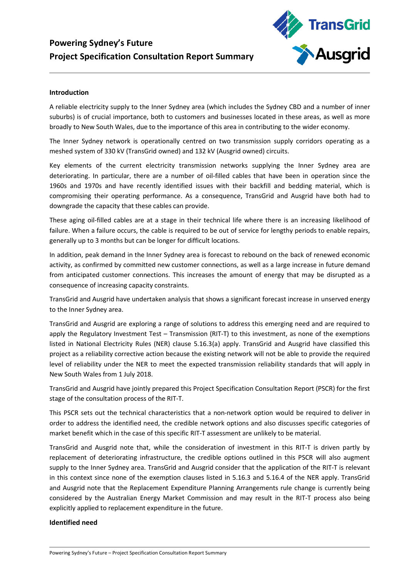# **Powering Sydney's Future Project Specification Consultation Report Summary**



#### **Introduction**

A reliable electricity supply to the Inner Sydney area (which includes the Sydney CBD and a number of inner suburbs) is of crucial importance, both to customers and businesses located in these areas, as well as more broadly to New South Wales, due to the importance of this area in contributing to the wider economy.

The Inner Sydney network is operationally centred on two transmission supply corridors operating as a meshed system of 330 kV (TransGrid owned) and 132 kV (Ausgrid owned) circuits.

Key elements of the current electricity transmission networks supplying the Inner Sydney area are deteriorating. In particular, there are a number of oil-filled cables that have been in operation since the 1960s and 1970s and have recently identified issues with their backfill and bedding material, which is compromising their operating performance. As a consequence, TransGrid and Ausgrid have both had to downgrade the capacity that these cables can provide.

These aging oil-filled cables are at a stage in their technical life where there is an increasing likelihood of failure. When a failure occurs, the cable is required to be out of service for lengthy periods to enable repairs, generally up to 3 months but can be longer for difficult locations.

In addition, peak demand in the Inner Sydney area is forecast to rebound on the back of renewed economic activity, as confirmed by committed new customer connections, as well as a large increase in future demand from anticipated customer connections. This increases the amount of energy that may be disrupted as a consequence of increasing capacity constraints.

TransGrid and Ausgrid have undertaken analysis that shows a significant forecast increase in unserved energy to the Inner Sydney area.

TransGrid and Ausgrid are exploring a range of solutions to address this emerging need and are required to apply the Regulatory Investment Test – Transmission (RIT-T) to this investment, as none of the exemptions listed in National Electricity Rules (NER) clause 5.16.3(a) apply. TransGrid and Ausgrid have classified this project as a reliability corrective action because the existing network will not be able to provide the required level of reliability under the NER to meet the expected transmission reliability standards that will apply in New South Wales from 1 July 2018.

TransGrid and Ausgrid have jointly prepared this Project Specification Consultation Report (PSCR) for the first stage of the consultation process of the RIT-T.

This PSCR sets out the technical characteristics that a non-network option would be required to deliver in order to address the identified need, the credible network options and also discusses specific categories of market benefit which in the case of this specific RIT-T assessment are unlikely to be material.

TransGrid and Ausgrid note that, while the consideration of investment in this RIT-T is driven partly by replacement of deteriorating infrastructure, the credible options outlined in this PSCR will also augment supply to the Inner Sydney area. TransGrid and Ausgrid consider that the application of the RIT-T is relevant in this context since none of the exemption clauses listed in 5.16.3 and 5.16.4 of the NER apply. TransGrid and Ausgrid note that the Replacement Expenditure Planning Arrangements rule change is currently being considered by the Australian Energy Market Commission and may result in the RIT-T process also being explicitly applied to replacement expenditure in the future.

#### **Identified need**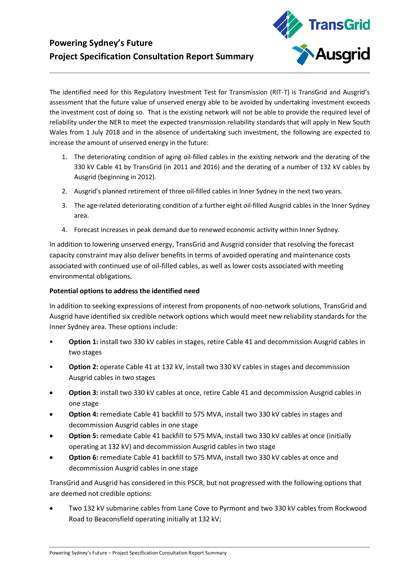## **Powering Sydney's Future Project Specification Consultation Report Summary**



The identified need for this Regulatory Investment Test for Transmission (RIT-T) is TransGrid and Ausgrid's assessment that the future value of unserved energy able to be avoided by undertaking investment exceeds the investment cost of doing so. That is the existing network will not be able to provide the required level of reliability under the NER to meet the expected transmission reliability standards that will apply in New South Wales from 1 July 2018 and in the absence of undertaking such investment, the following are expected to increase the amount of unserved energy in the future:

- 1. The deteriorating condition of aging oil-filled cables in the existing network and the derating of the 330 kV Cable 41 by TransGrid (in 2011 and 2016) and the derating of a number of 132 kV cables by Ausgrid (beginning in 2012).
- 2. Ausgrid's planned retirement of three oil-filled cables in Inner Sydney in the next two years.
- 3. The age-related deteriorating condition of a further eight oil-filled Ausgrid cables in the Inner Sydney area.
- 4. Forecast increases in peak demand due to renewed economic activity within Inner Sydney.

In addition to lowering unserved energy, TransGrid and Ausgrid consider that resolving the forecast capacity constraint may also deliver benefits in terms of avoided operating and maintenance costs associated with continued use of oil-filled cables, as well as lower costs associated with meeting environmental obligations.

### **Potential options to address the identified need**

In addition to seeking expressions of interest from proponents of non-network solutions, TransGrid and Ausgrid have identified six credible network options which would meet new reliability standards for the Inner Sydney area. These options include:

- **Option 1:** install two 330 kV cables in stages, retire Cable 41 and decommission Ausgrid cables in two stages
- **Option 2:** operate Cable 41 at 132 kV, install two 330 kV cables in stages and decommission Ausgrid cables in two stages
- **Option 3:** install two 330 kV cables at once, retire Cable 41 and decommission Ausgrid cables in one stage
- **Option 4:** remediate Cable 41 backfill to 575 MVA, install two 330 kV cables in stages and decommission Ausgrid cables in one stage
- **Option 5:** remediate Cable 41 backfill to 575 MVA, install two 330 kV cables at once (initially operating at 132 kV) and decommission Ausgrid cables in two stage
- **Option 6:** remediate Cable 41 backfill to 575 MVA, install two 330 kV cables at once and decommission Ausgrid cables in one stage

TransGrid and Ausgrid has considered in this PSCR, but not progressed with the following options that are deemed not credible options:

• Two 132 kV submarine cables from Lane Cove to Pyrmont and two 330 kV cables from Rockwood Road to Beaconsfield operating initially at 132 kV;